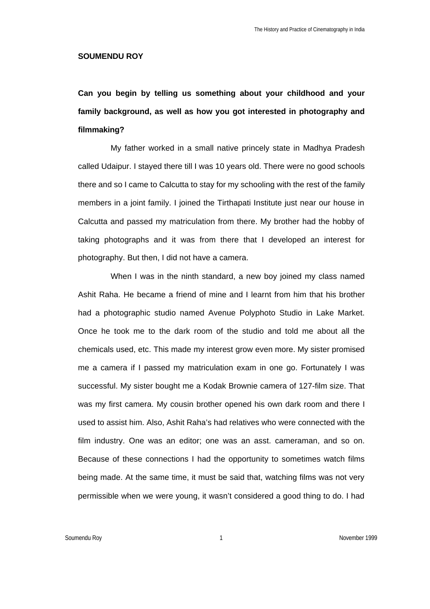### **SOUMENDU ROY**

**Can you begin by telling us something about your childhood and your family background, as well as how you got interested in photography and filmmaking?**

My father worked in a small native princely state in Madhya Pradesh called Udaipur. I stayed there till I was 10 years old. There were no good schools there and so I came to Calcutta to stay for my schooling with the rest of the family members in a joint family. I joined the Tirthapati Institute just near our house in Calcutta and passed my matriculation from there. My brother had the hobby of taking photographs and it was from there that I developed an interest for photography. But then, I did not have a camera.

When I was in the ninth standard, a new boy joined my class named Ashit Raha. He became a friend of mine and I learnt from him that his brother had a photographic studio named Avenue Polyphoto Studio in Lake Market. Once he took me to the dark room of the studio and told me about all the chemicals used, etc. This made my interest grow even more. My sister promised me a camera if I passed my matriculation exam in one go. Fortunately I was successful. My sister bought me a Kodak Brownie camera of 127-film size. That was my first camera. My cousin brother opened his own dark room and there I used to assist him. Also, Ashit Raha's had relatives who were connected with the film industry. One was an editor; one was an asst. cameraman, and so on. Because of these connections I had the opportunity to sometimes watch films being made. At the same time, it must be said that, watching films was not very permissible when we were young, it wasn't considered a good thing to do. I had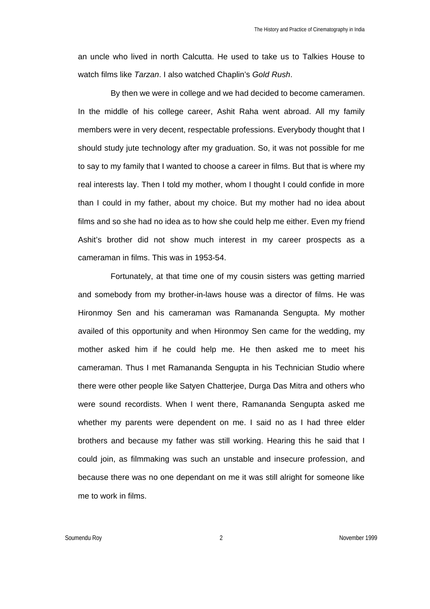an uncle who lived in north Calcutta. He used to take us to Talkies House to watch films like *Tarzan*. I also watched Chaplin's *Gold Rush*.

By then we were in college and we had decided to become cameramen. In the middle of his college career, Ashit Raha went abroad. All my family members were in very decent, respectable professions. Everybody thought that I should study jute technology after my graduation. So, it was not possible for me to say to my family that I wanted to choose a career in films. But that is where my real interests lay. Then I told my mother, whom I thought I could confide in more than I could in my father, about my choice. But my mother had no idea about films and so she had no idea as to how she could help me either. Even my friend Ashit's brother did not show much interest in my career prospects as a cameraman in films. This was in 1953-54.

Fortunately, at that time one of my cousin sisters was getting married and somebody from my brother-in-laws house was a director of films. He was Hironmoy Sen and his cameraman was Ramananda Sengupta. My mother availed of this opportunity and when Hironmoy Sen came for the wedding, my mother asked him if he could help me. He then asked me to meet his cameraman. Thus I met Ramananda Sengupta in his Technician Studio where there were other people like Satyen Chatterjee, Durga Das Mitra and others who were sound recordists. When I went there, Ramananda Sengupta asked me whether my parents were dependent on me. I said no as I had three elder brothers and because my father was still working. Hearing this he said that I could join, as filmmaking was such an unstable and insecure profession, and because there was no one dependant on me it was still alright for someone like me to work in films.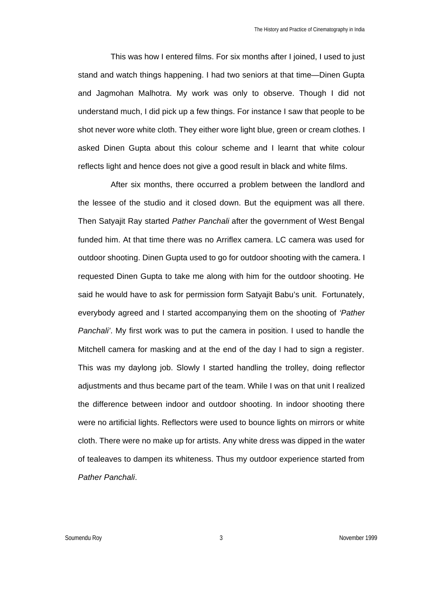This was how I entered films. For six months after I joined, I used to just stand and watch things happening. I had two seniors at that time—Dinen Gupta and Jagmohan Malhotra. My work was only to observe. Though I did not understand much, I did pick up a few things. For instance I saw that people to be shot never wore white cloth. They either wore light blue, green or cream clothes. I asked Dinen Gupta about this colour scheme and I learnt that white colour reflects light and hence does not give a good result in black and white films.

After six months, there occurred a problem between the landlord and the lessee of the studio and it closed down. But the equipment was all there. Then Satyajit Ray started *Pather Panchali* after the government of West Bengal funded him. At that time there was no Arriflex camera. LC camera was used for outdoor shooting. Dinen Gupta used to go for outdoor shooting with the camera. I requested Dinen Gupta to take me along with him for the outdoor shooting. He said he would have to ask for permission form Satyajit Babu's unit. Fortunately, everybody agreed and I started accompanying them on the shooting of *'Pather Panchali'*. My first work was to put the camera in position. I used to handle the Mitchell camera for masking and at the end of the day I had to sign a register. This was my daylong job. Slowly I started handling the trolley, doing reflector adjustments and thus became part of the team. While I was on that unit I realized the difference between indoor and outdoor shooting. In indoor shooting there were no artificial lights. Reflectors were used to bounce lights on mirrors or white cloth. There were no make up for artists. Any white dress was dipped in the water of tealeaves to dampen its whiteness. Thus my outdoor experience started from *Pather Panchali*.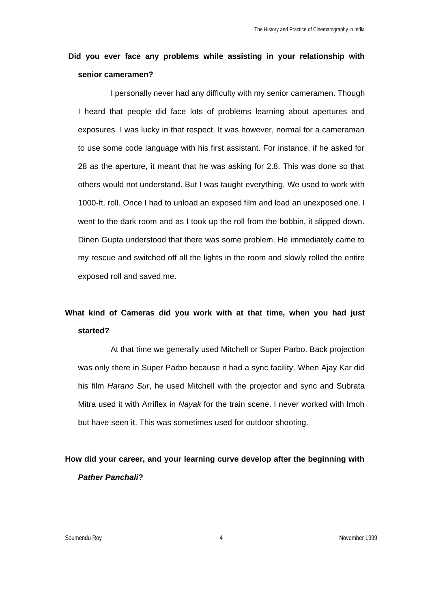# **Did you ever face any problems while assisting in your relationship with senior cameramen?**

I personally never had any difficulty with my senior cameramen. Though I heard that people did face lots of problems learning about apertures and exposures. I was lucky in that respect. It was however, normal for a cameraman to use some code language with his first assistant. For instance, if he asked for 28 as the aperture, it meant that he was asking for 2.8. This was done so that others would not understand. But I was taught everything. We used to work with 1000-ft. roll. Once I had to unload an exposed film and load an unexposed one. I went to the dark room and as I took up the roll from the bobbin, it slipped down. Dinen Gupta understood that there was some problem. He immediately came to my rescue and switched off all the lights in the room and slowly rolled the entire exposed roll and saved me.

# **What kind of Cameras did you work with at that time, when you had just started?**

At that time we generally used Mitchell or Super Parbo. Back projection was only there in Super Parbo because it had a sync facility. When Ajay Kar did his film *Harano Sur*, he used Mitchell with the projector and sync and Subrata Mitra used it with Arriflex in *Nayak* for the train scene. I never worked with Imoh but have seen it. This was sometimes used for outdoor shooting.

**How did your career, and your learning curve develop after the beginning with**  *Pather Panchali***?**

Soumendu Roy 4 November 1999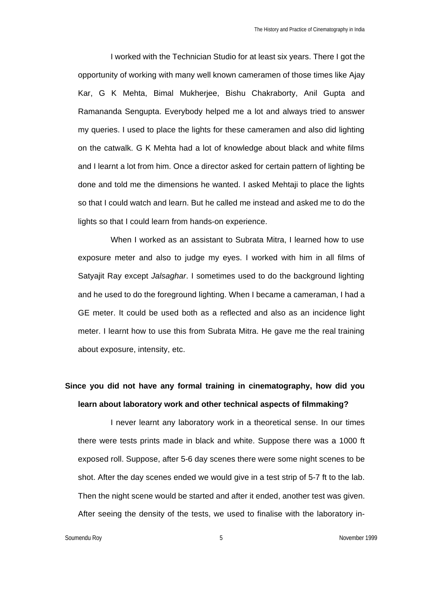I worked with the Technician Studio for at least six years. There I got the opportunity of working with many well known cameramen of those times like Ajay Kar, G K Mehta, Bimal Mukherjee, Bishu Chakraborty, Anil Gupta and Ramananda Sengupta. Everybody helped me a lot and always tried to answer my queries. I used to place the lights for these cameramen and also did lighting on the catwalk. G K Mehta had a lot of knowledge about black and white films and I learnt a lot from him. Once a director asked for certain pattern of lighting be done and told me the dimensions he wanted. I asked Mehtaji to place the lights so that I could watch and learn. But he called me instead and asked me to do the lights so that I could learn from hands-on experience.

When I worked as an assistant to Subrata Mitra, I learned how to use exposure meter and also to judge my eyes. I worked with him in all films of Satyajit Ray except *Jalsaghar*. I sometimes used to do the background lighting and he used to do the foreground lighting. When I became a cameraman, I had a GE meter. It could be used both as a reflected and also as an incidence light meter. I learnt how to use this from Subrata Mitra. He gave me the real training about exposure, intensity, etc.

# **Since you did not have any formal training in cinematography, how did you learn about laboratory work and other technical aspects of filmmaking?**

I never learnt any laboratory work in a theoretical sense. In our times there were tests prints made in black and white. Suppose there was a 1000 ft exposed roll. Suppose, after 5-6 day scenes there were some night scenes to be shot. After the day scenes ended we would give in a test strip of 5-7 ft to the lab. Then the night scene would be started and after it ended, another test was given. After seeing the density of the tests, we used to finalise with the laboratory in-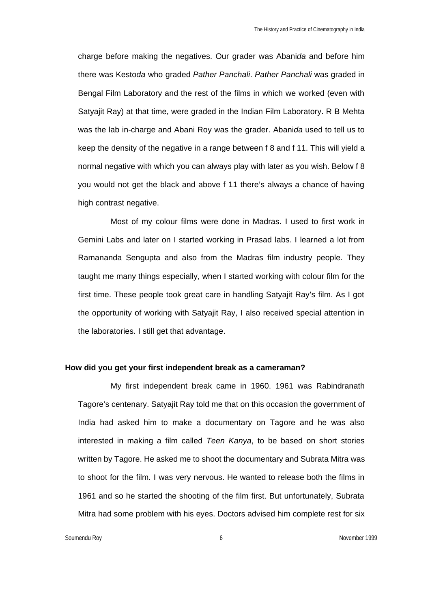charge before making the negatives. Our grader was Abani*da* and before him there was Kesto*da* who graded *Pather Panchali*. *Pather Panchali* was graded in Bengal Film Laboratory and the rest of the films in which we worked (even with Satyajit Ray) at that time, were graded in the Indian Film Laboratory. R B Mehta was the lab in-charge and Abani Roy was the grader. Abani*da* used to tell us to keep the density of the negative in a range between f 8 and f 11. This will yield a normal negative with which you can always play with later as you wish. Below f 8 you would not get the black and above f 11 there's always a chance of having high contrast negative.

Most of my colour films were done in Madras. I used to first work in Gemini Labs and later on I started working in Prasad labs. I learned a lot from Ramananda Sengupta and also from the Madras film industry people. They taught me many things especially, when I started working with colour film for the first time. These people took great care in handling Satyajit Ray's film. As I got the opportunity of working with Satyajit Ray, I also received special attention in the laboratories. I still get that advantage.

### **How did you get your first independent break as a cameraman?**

My first independent break came in 1960. 1961 was Rabindranath Tagore's centenary. Satyajit Ray told me that on this occasion the government of India had asked him to make a documentary on Tagore and he was also interested in making a film called *Teen Kanya*, to be based on short stories written by Tagore. He asked me to shoot the documentary and Subrata Mitra was to shoot for the film. I was very nervous. He wanted to release both the films in 1961 and so he started the shooting of the film first. But unfortunately, Subrata Mitra had some problem with his eyes. Doctors advised him complete rest for six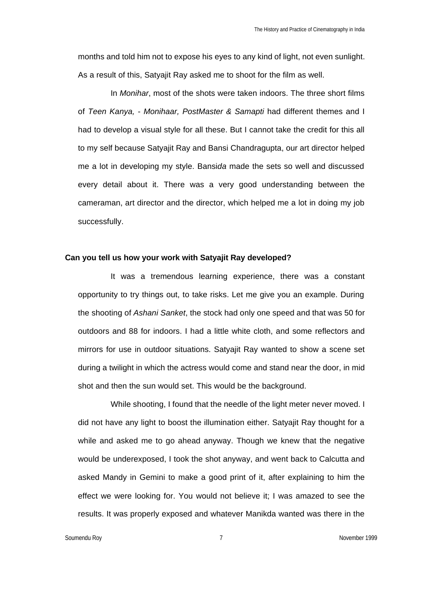months and told him not to expose his eyes to any kind of light, not even sunlight. As a result of this, Satyajit Ray asked me to shoot for the film as well.

In *Monihar*, most of the shots were taken indoors. The three short films of *Teen Kanya,* - *Monihaar, PostMaster & Samapti* had different themes and I had to develop a visual style for all these. But I cannot take the credit for this all to my self because Satyajit Ray and Bansi Chandragupta, our art director helped me a lot in developing my style. Bansi*da* made the sets so well and discussed every detail about it. There was a very good understanding between the cameraman, art director and the director, which helped me a lot in doing my job successfully.

#### **Can you tell us how your work with Satyajit Ray developed?**

It was a tremendous learning experience, there was a constant opportunity to try things out, to take risks. Let me give you an example. During the shooting of *Ashani Sanket*, the stock had only one speed and that was 50 for outdoors and 88 for indoors. I had a little white cloth, and some reflectors and mirrors for use in outdoor situations. Satyajit Ray wanted to show a scene set during a twilight in which the actress would come and stand near the door, in mid shot and then the sun would set. This would be the background.

While shooting, I found that the needle of the light meter never moved. I did not have any light to boost the illumination either. Satyajit Ray thought for a while and asked me to go ahead anyway. Though we knew that the negative would be underexposed, I took the shot anyway, and went back to Calcutta and asked Mandy in Gemini to make a good print of it, after explaining to him the effect we were looking for. You would not believe it; I was amazed to see the results. It was properly exposed and whatever Manikda wanted was there in the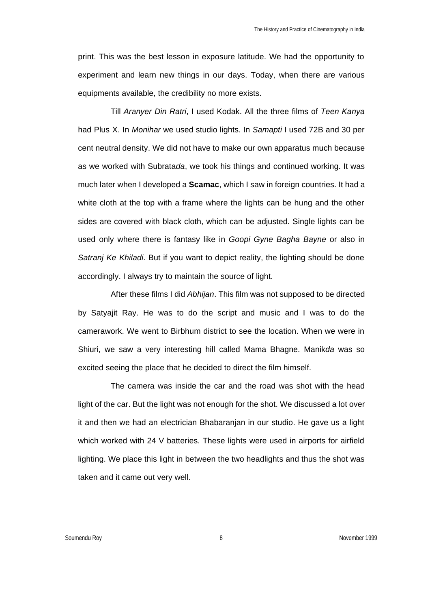print. This was the best lesson in exposure latitude. We had the opportunity to experiment and learn new things in our days. Today, when there are various equipments available, the credibility no more exists.

Till *Aranyer Din Ratri*, I used Kodak. All the three films of *Teen Kanya* had Plus X. In *Monihar* we used studio lights. In *Samapti* I used 72B and 30 per cent neutral density. We did not have to make our own apparatus much because as we worked with Subrata*da*, we took his things and continued working. It was much later when I developed a **Scamac**, which I saw in foreign countries. It had a white cloth at the top with a frame where the lights can be hung and the other sides are covered with black cloth, which can be adjusted. Single lights can be used only where there is fantasy like in *Goopi Gyne Bagha Bayne* or also in *Satranj Ke Khiladi*. But if you want to depict reality, the lighting should be done accordingly. I always try to maintain the source of light.

After these films I did *Abhijan*. This film was not supposed to be directed by Satyajit Ray. He was to do the script and music and I was to do the camerawork. We went to Birbhum district to see the location. When we were in Shiuri, we saw a very interesting hill called Mama Bhagne. Manik*da* was so excited seeing the place that he decided to direct the film himself.

The camera was inside the car and the road was shot with the head light of the car. But the light was not enough for the shot. We discussed a lot over it and then we had an electrician Bhabaranjan in our studio. He gave us a light which worked with 24 V batteries. These lights were used in airports for airfield lighting. We place this light in between the two headlights and thus the shot was taken and it came out very well.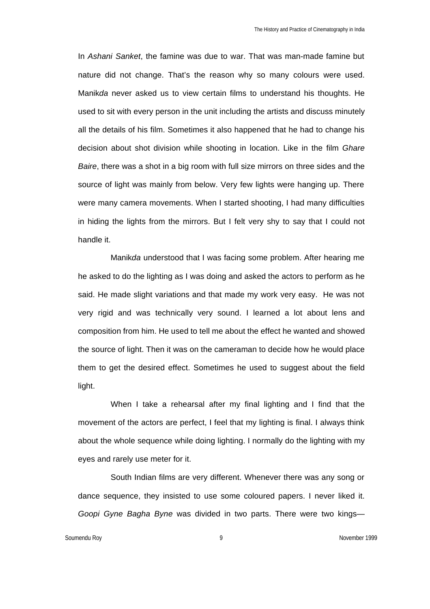In *Ashani Sanket*, the famine was due to war. That was man-made famine but nature did not change. That's the reason why so many colours were used. Manik*da* never asked us to view certain films to understand his thoughts. He used to sit with every person in the unit including the artists and discuss minutely all the details of his film. Sometimes it also happened that he had to change his decision about shot division while shooting in location. Like in the film *Ghare Baire*, there was a shot in a big room with full size mirrors on three sides and the source of light was mainly from below. Very few lights were hanging up. There were many camera movements. When I started shooting, I had many difficulties in hiding the lights from the mirrors. But I felt very shy to say that I could not handle it.

Manik*da* understood that I was facing some problem. After hearing me he asked to do the lighting as I was doing and asked the actors to perform as he said. He made slight variations and that made my work very easy. He was not very rigid and was technically very sound. I learned a lot about lens and composition from him. He used to tell me about the effect he wanted and showed the source of light. Then it was on the cameraman to decide how he would place them to get the desired effect. Sometimes he used to suggest about the field light.

When I take a rehearsal after my final lighting and I find that the movement of the actors are perfect, I feel that my lighting is final. I always think about the whole sequence while doing lighting. I normally do the lighting with my eyes and rarely use meter for it.

South Indian films are very different. Whenever there was any song or dance sequence, they insisted to use some coloured papers. I never liked it. *Goopi Gyne Bagha Byne* was divided in two parts. There were two kings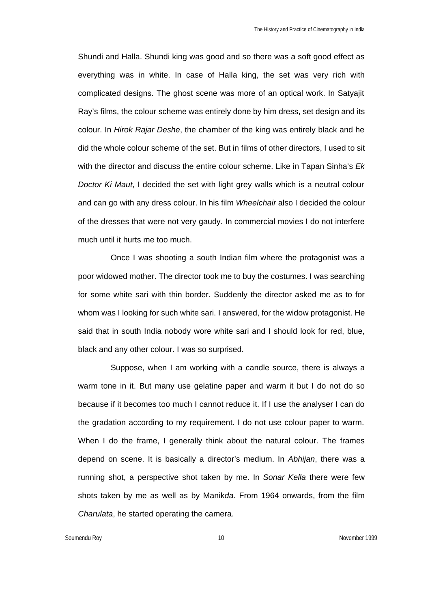Shundi and Halla. Shundi king was good and so there was a soft good effect as everything was in white. In case of Halla king, the set was very rich with complicated designs. The ghost scene was more of an optical work. In Satyajit Ray's films, the colour scheme was entirely done by him dress, set design and its colour. In *Hirok Rajar Deshe*, the chamber of the king was entirely black and he did the whole colour scheme of the set. But in films of other directors, I used to sit with the director and discuss the entire colour scheme. Like in Tapan Sinha's *Ek Doctor Ki Maut*, I decided the set with light grey walls which is a neutral colour and can go with any dress colour. In his film *Wheelchair* also I decided the colour of the dresses that were not very gaudy. In commercial movies I do not interfere much until it hurts me too much.

Once I was shooting a south Indian film where the protagonist was a poor widowed mother. The director took me to buy the costumes. I was searching for some white sari with thin border. Suddenly the director asked me as to for whom was I looking for such white sari. I answered, for the widow protagonist. He said that in south India nobody wore white sari and I should look for red, blue, black and any other colour. I was so surprised.

Suppose, when I am working with a candle source, there is always a warm tone in it. But many use gelatine paper and warm it but I do not do so because if it becomes too much I cannot reduce it. If I use the analyser I can do the gradation according to my requirement. I do not use colour paper to warm. When I do the frame. I generally think about the natural colour. The frames depend on scene. It is basically a director's medium. In *Abhijan*, there was a running shot, a perspective shot taken by me. In *Sonar Kella* there were few shots taken by me as well as by Manik*da*. From 1964 onwards, from the film *Charulata*, he started operating the camera.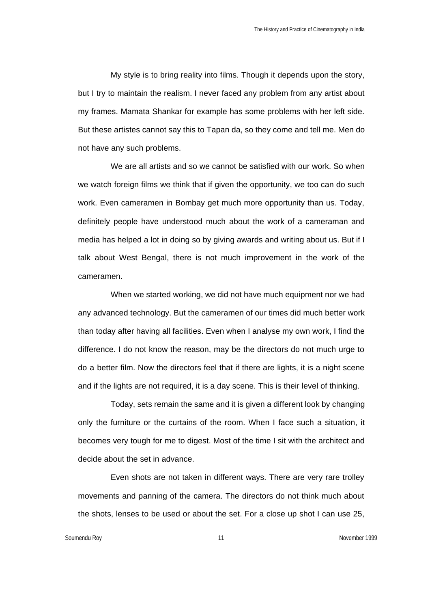My style is to bring reality into films. Though it depends upon the story, but I try to maintain the realism. I never faced any problem from any artist about my frames. Mamata Shankar for example has some problems with her left side. But these artistes cannot say this to Tapan da, so they come and tell me. Men do not have any such problems.

We are all artists and so we cannot be satisfied with our work. So when we watch foreign films we think that if given the opportunity, we too can do such work. Even cameramen in Bombay get much more opportunity than us. Today, definitely people have understood much about the work of a cameraman and media has helped a lot in doing so by giving awards and writing about us. But if I talk about West Bengal, there is not much improvement in the work of the cameramen.

When we started working, we did not have much equipment nor we had any advanced technology. But the cameramen of our times did much better work than today after having all facilities. Even when I analyse my own work, I find the difference. I do not know the reason, may be the directors do not much urge to do a better film. Now the directors feel that if there are lights, it is a night scene and if the lights are not required, it is a day scene. This is their level of thinking.

Today, sets remain the same and it is given a different look by changing only the furniture or the curtains of the room. When I face such a situation, it becomes very tough for me to digest. Most of the time I sit with the architect and decide about the set in advance.

Even shots are not taken in different ways. There are very rare trolley movements and panning of the camera. The directors do not think much about the shots, lenses to be used or about the set. For a close up shot I can use 25,

Soumendu Roy **11** November 1999